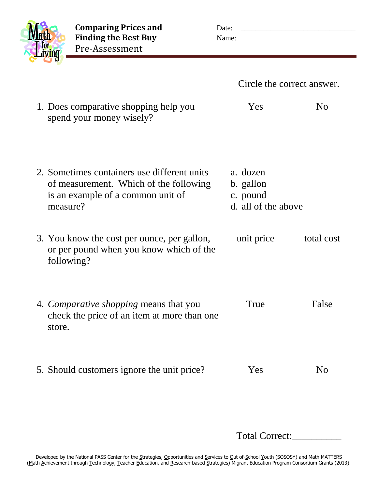

**Comparing Prices and** Date: Finding the Best Buy Pre-Assessment

1. Does comparative shopping help you

| Name: |                            |
|-------|----------------------------|
|       | Circle the correct answer. |
| Yes   | N <sub>o</sub>             |
|       |                            |

| spend your money wisely?                                                                                                               |                                                          |            |
|----------------------------------------------------------------------------------------------------------------------------------------|----------------------------------------------------------|------------|
| 2. Sometimes containers use different units<br>of measurement. Which of the following<br>is an example of a common unit of<br>measure? | a. dozen<br>b. gallon<br>c. pound<br>d. all of the above |            |
| 3. You know the cost per ounce, per gallon,<br>or per pound when you know which of the<br>following?                                   | unit price                                               | total cost |
| 4. <i>Comparative shopping</i> means that you<br>check the price of an item at more than one<br>store.                                 | True                                                     | False      |
| 5. Should customers ignore the unit price?                                                                                             | Yes                                                      | No         |
|                                                                                                                                        | <b>Total Correct:</b>                                    |            |